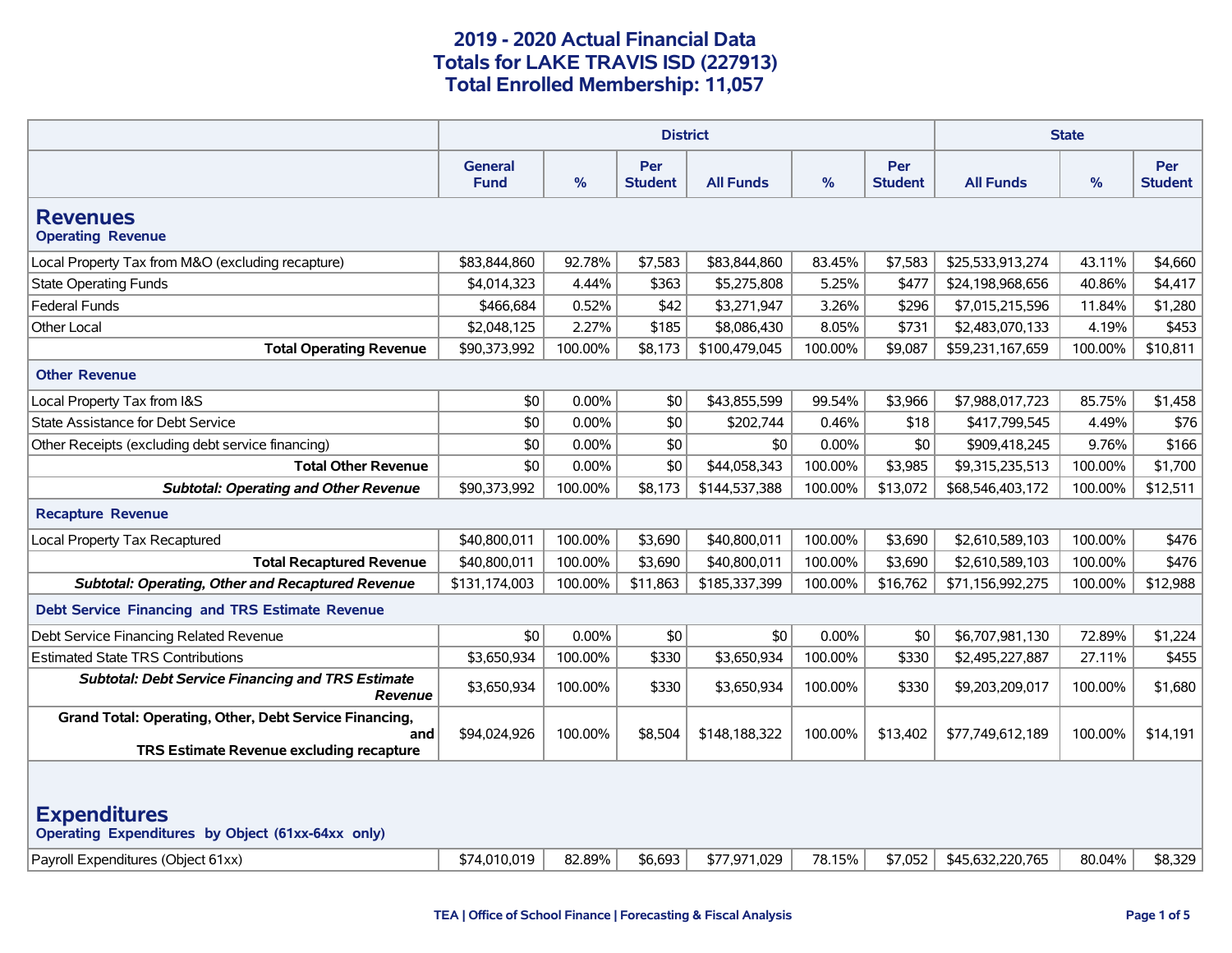|                                                                                                                |                        |          | <b>State</b>          |                  |               |                              |                  |         |                       |
|----------------------------------------------------------------------------------------------------------------|------------------------|----------|-----------------------|------------------|---------------|------------------------------|------------------|---------|-----------------------|
|                                                                                                                | General<br><b>Fund</b> | $\%$     | Per<br><b>Student</b> | <b>All Funds</b> | $\frac{9}{6}$ | <b>Per</b><br><b>Student</b> | <b>All Funds</b> | $\%$    | Per<br><b>Student</b> |
| <b>Revenues</b><br><b>Operating Revenue</b>                                                                    |                        |          |                       |                  |               |                              |                  |         |                       |
| Local Property Tax from M&O (excluding recapture)                                                              | \$83,844,860           | 92.78%   | \$7,583               | \$83,844,860     | 83.45%        | \$7,583                      | \$25,533,913,274 | 43.11%  | \$4,660               |
| <b>State Operating Funds</b>                                                                                   | \$4,014,323            | 4.44%    | \$363                 | \$5,275,808      | 5.25%         | \$477                        | \$24,198,968,656 | 40.86%  | \$4,417               |
| <b>Federal Funds</b>                                                                                           | \$466,684              | 0.52%    | \$42                  | \$3,271,947      | 3.26%         | \$296                        | \$7,015,215,596  | 11.84%  | \$1,280               |
| Other Local                                                                                                    | \$2,048,125            | 2.27%    | \$185                 | \$8,086,430      | 8.05%         | \$731                        | \$2,483,070,133  | 4.19%   | \$453                 |
| <b>Total Operating Revenue</b>                                                                                 | \$90,373,992           | 100.00%  | \$8,173               | \$100,479,045    | 100.00%       | \$9,087                      | \$59,231,167,659 | 100.00% | \$10,811              |
| <b>Other Revenue</b>                                                                                           |                        |          |                       |                  |               |                              |                  |         |                       |
| Local Property Tax from I&S                                                                                    | \$0                    | $0.00\%$ | \$0                   | \$43,855,599     | 99.54%        | \$3,966                      | \$7,988,017,723  | 85.75%  | \$1,458               |
| State Assistance for Debt Service                                                                              | \$0                    | 0.00%    | \$0                   | \$202,744        | 0.46%         | \$18                         | \$417,799,545    | 4.49%   | \$76                  |
| Other Receipts (excluding debt service financing)                                                              | \$0                    | 0.00%    | \$0                   | \$0              | 0.00%         | \$0                          | \$909,418,245    | 9.76%   | \$166                 |
| <b>Total Other Revenue</b>                                                                                     | \$0                    | 0.00%    | \$0                   | \$44,058,343     | 100.00%       | \$3,985                      | \$9,315,235,513  | 100.00% | \$1,700               |
| <b>Subtotal: Operating and Other Revenue</b>                                                                   | \$90,373,992           | 100.00%  | \$8,173               | \$144,537,388    | 100.00%       | \$13,072                     | \$68,546,403,172 | 100.00% | \$12,511              |
| <b>Recapture Revenue</b>                                                                                       |                        |          |                       |                  |               |                              |                  |         |                       |
| Local Property Tax Recaptured                                                                                  | \$40,800,011           | 100.00%  | \$3,690               | \$40,800,011     | 100.00%       | \$3,690                      | \$2,610,589,103  | 100.00% | \$476                 |
| <b>Total Recaptured Revenue</b>                                                                                | \$40,800,011           | 100.00%  | \$3,690               | \$40,800,011     | 100.00%       | \$3,690                      | \$2,610,589,103  | 100.00% | \$476                 |
| <b>Subtotal: Operating, Other and Recaptured Revenue</b>                                                       | \$131,174,003          | 100.00%  | \$11,863              | \$185,337,399    | 100.00%       | \$16,762                     | \$71,156,992,275 | 100.00% | \$12,988              |
| <b>Debt Service Financing and TRS Estimate Revenue</b>                                                         |                        |          |                       |                  |               |                              |                  |         |                       |
| Debt Service Financing Related Revenue                                                                         | \$0                    | 0.00%    | \$0                   | \$0              | 0.00%         | \$0                          | \$6,707,981,130  | 72.89%  | \$1,224               |
| <b>Estimated State TRS Contributions</b>                                                                       | \$3,650,934            | 100.00%  | \$330                 | \$3,650,934      | 100.00%       | \$330                        | \$2,495,227,887  | 27.11%  | \$455                 |
| <b>Subtotal: Debt Service Financing and TRS Estimate</b><br><b>Revenue</b>                                     | \$3,650,934            | 100.00%  | \$330                 | \$3,650,934      | 100.00%       | \$330                        | \$9,203,209,017  | 100.00% | \$1,680               |
| Grand Total: Operating, Other, Debt Service Financing,<br>and<br>TRS Estimate Revenue excluding recapture      | \$94,024,926           | 100.00%  | \$8,504               | \$148,188,322    | 100.00%       | \$13,402                     | \$77,749,612,189 | 100.00% | \$14,191              |
| <b>Expenditures</b><br>Operating Expenditures by Object (61xx-64xx only)<br>Payroll Expenditures (Object 61xx) | \$74,010,019           | 82.89%   | \$6,693               | \$77,971,029     | 78.15%        | \$7,052                      | \$45,632,220,765 | 80.04%  | \$8,329               |
|                                                                                                                |                        |          |                       |                  |               |                              |                  |         |                       |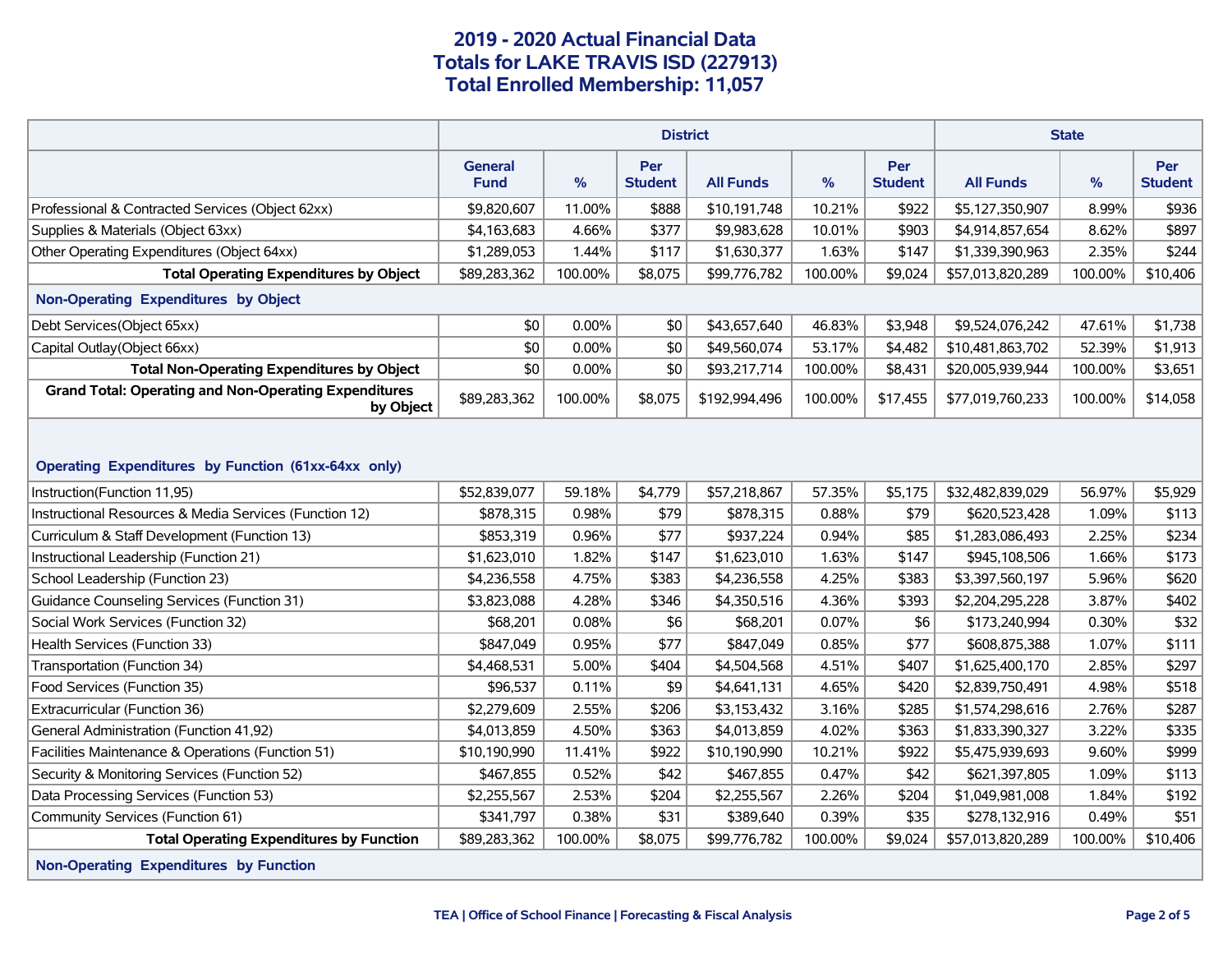|                                                                                    |                               |         |                       | <b>State</b>     |         |                              |                  |         |                              |
|------------------------------------------------------------------------------------|-------------------------------|---------|-----------------------|------------------|---------|------------------------------|------------------|---------|------------------------------|
|                                                                                    | <b>General</b><br><b>Fund</b> | $\%$    | Per<br><b>Student</b> | <b>All Funds</b> | %       | <b>Per</b><br><b>Student</b> | <b>All Funds</b> | %       | <b>Per</b><br><b>Student</b> |
| Professional & Contracted Services (Object 62xx)                                   | \$9,820,607                   | 11.00%  | \$888                 | \$10,191,748     | 10.21%  | \$922                        | \$5,127,350,907  | 8.99%   | \$936                        |
| Supplies & Materials (Object 63xx)                                                 | \$4,163,683                   | 4.66%   | \$377                 | \$9,983,628      | 10.01%  | \$903                        | \$4,914,857,654  | 8.62%   | \$897                        |
| Other Operating Expenditures (Object 64xx)                                         | \$1,289,053                   | 1.44%   | \$117                 | \$1,630,377      | 1.63%   | \$147                        | \$1,339,390,963  | 2.35%   | \$244                        |
| <b>Total Operating Expenditures by Object</b>                                      | \$89,283,362                  | 100.00% | \$8,075               | \$99,776,782     | 100.00% | \$9,024                      | \$57,013,820,289 | 100.00% | \$10,406                     |
| Non-Operating Expenditures by Object                                               |                               |         |                       |                  |         |                              |                  |         |                              |
| Debt Services(Object 65xx)                                                         | \$0                           | 0.00%   | \$0                   | \$43,657,640     | 46.83%  | \$3,948                      | \$9,524,076,242  | 47.61%  | \$1,738                      |
| Capital Outlay (Object 66xx)                                                       | \$0                           | 0.00%   | \$0                   | \$49,560,074     | 53.17%  | \$4,482                      | \$10,481,863,702 | 52.39%  | \$1,913                      |
| <b>Total Non-Operating Expenditures by Object</b>                                  | \$0                           | 0.00%   | \$0                   | \$93,217,714     | 100.00% | \$8,431                      | \$20,005,939,944 | 100.00% | \$3,651                      |
| <b>Grand Total: Operating and Non-Operating Expenditures</b><br>by Object          | \$89,283,362                  | 100.00% | \$8,075               | \$192,994,496    | 100.00% | \$17,455                     | \$77,019,760,233 | 100.00% | \$14,058                     |
| Operating Expenditures by Function (61xx-64xx only)<br>Instruction(Function 11,95) | \$52,839,077                  | 59.18%  | \$4,779               | \$57,218,867     | 57.35%  | \$5,175                      | \$32,482,839,029 | 56.97%  | \$5,929                      |
| Instructional Resources & Media Services (Function 12)                             | \$878,315                     | 0.98%   | \$79                  | \$878,315        | 0.88%   | \$79                         | \$620,523,428    | 1.09%   | \$113                        |
| Curriculum & Staff Development (Function 13)                                       | \$853,319                     | 0.96%   | \$77                  | \$937,224        | 0.94%   | \$85                         | \$1,283,086,493  | 2.25%   | \$234                        |
| Instructional Leadership (Function 21)                                             | \$1,623,010                   | 1.82%   | \$147                 | \$1,623,010      | 1.63%   | \$147                        | \$945,108,506    | 1.66%   | \$173                        |
| School Leadership (Function 23)                                                    | \$4,236,558                   | 4.75%   | \$383                 | \$4,236,558      | 4.25%   | \$383                        | \$3,397,560,197  | 5.96%   | \$620                        |
| Guidance Counseling Services (Function 31)                                         | \$3,823,088                   | 4.28%   | \$346                 | \$4,350,516      | 4.36%   | \$393                        | \$2,204,295,228  | 3.87%   | \$402                        |
| Social Work Services (Function 32)                                                 | \$68,201                      | 0.08%   | \$6                   | \$68,201         | 0.07%   | \$6                          | \$173,240,994    | 0.30%   | \$32                         |
| Health Services (Function 33)                                                      | \$847,049                     | 0.95%   | \$77                  | \$847,049        | 0.85%   | \$77                         | \$608,875,388    | 1.07%   | \$111                        |
| Transportation (Function 34)                                                       | \$4,468,531                   | 5.00%   | \$404                 | \$4,504,568      | 4.51%   | \$407                        | \$1,625,400,170  | 2.85%   | \$297                        |
| Food Services (Function 35)                                                        | \$96,537                      | 0.11%   | \$9                   | \$4,641,131      | 4.65%   | \$420                        | \$2,839,750,491  | 4.98%   | \$518                        |
| Extracurricular (Function 36)                                                      | \$2,279,609                   | 2.55%   | \$206                 | \$3,153,432      | 3.16%   | \$285                        | \$1,574,298,616  | 2.76%   | \$287                        |
| General Administration (Function 41,92)                                            | \$4,013,859                   | 4.50%   | \$363                 | \$4,013,859      | 4.02%   | \$363                        | \$1,833,390,327  | 3.22%   | \$335                        |
| Facilities Maintenance & Operations (Function 51)                                  | \$10,190,990                  | 11.41%  | \$922                 | \$10,190,990     | 10.21%  | \$922                        | \$5,475,939,693  | 9.60%   | \$999                        |
| Security & Monitoring Services (Function 52)                                       | \$467,855                     | 0.52%   | \$42                  | \$467,855        | 0.47%   | \$42                         | \$621,397,805    | 1.09%   | \$113                        |
| Data Processing Services (Function 53)                                             | \$2,255,567                   | 2.53%   | \$204                 | \$2,255,567      | 2.26%   | \$204                        | \$1,049,981,008  | 1.84%   | \$192                        |
| Community Services (Function 61)                                                   | \$341,797                     | 0.38%   | \$31                  | \$389,640        | 0.39%   | \$35                         | \$278,132,916    | 0.49%   | \$51                         |
| <b>Total Operating Expenditures by Function</b>                                    | \$89,283,362                  | 100.00% | \$8,075               | \$99,776,782     | 100.00% | \$9,024                      | \$57,013,820,289 | 100.00% | \$10,406                     |
| Non-Operating Expenditures by Function                                             |                               |         |                       |                  |         |                              |                  |         |                              |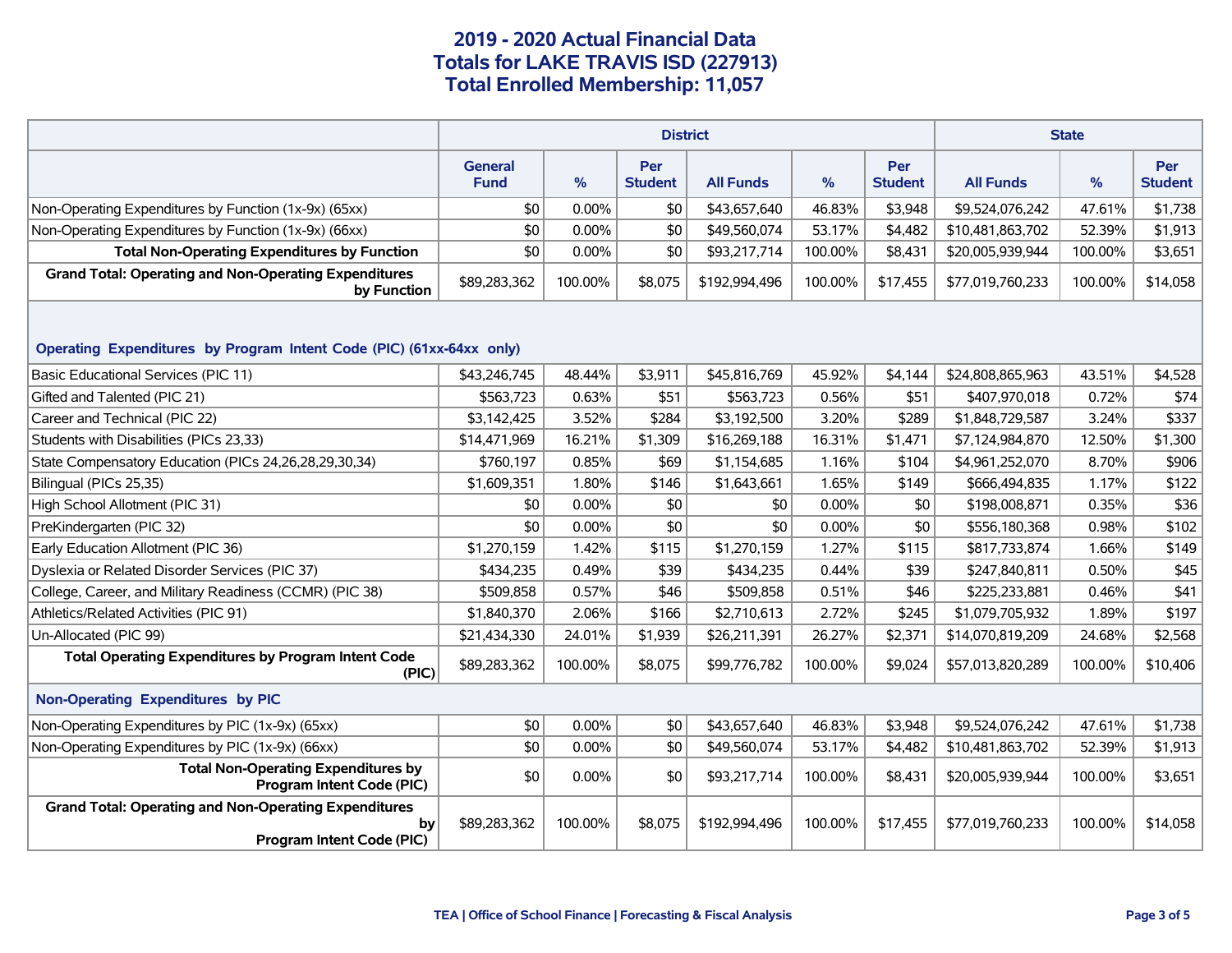|                                                                                                 |                        |          | <b>State</b>          |                  |          |                       |                  |         |                              |  |
|-------------------------------------------------------------------------------------------------|------------------------|----------|-----------------------|------------------|----------|-----------------------|------------------|---------|------------------------------|--|
|                                                                                                 | General<br><b>Fund</b> | $\%$     | Per<br><b>Student</b> | <b>All Funds</b> | %        | Per<br><b>Student</b> | <b>All Funds</b> | %       | <b>Per</b><br><b>Student</b> |  |
| Non-Operating Expenditures by Function (1x-9x) (65xx)                                           | \$0                    | $0.00\%$ | \$0                   | \$43,657,640     | 46.83%   | \$3,948               | \$9,524,076,242  | 47.61%  | \$1,738                      |  |
| Non-Operating Expenditures by Function (1x-9x) (66xx)                                           | \$0                    | $0.00\%$ | \$0                   | \$49,560,074     | 53.17%   | \$4,482               | \$10,481,863,702 | 52.39%  | \$1,913                      |  |
| <b>Total Non-Operating Expenditures by Function</b>                                             | \$0                    | $0.00\%$ | \$0                   | \$93,217,714     | 100.00%  | \$8,431               | \$20,005,939,944 | 100.00% | \$3,651                      |  |
| <b>Grand Total: Operating and Non-Operating Expenditures</b><br>by Function                     | \$89,283,362           | 100.00%  | \$8,075               | \$192,994,496    | 100.00%  | \$17,455              | \$77,019,760,233 | 100.00% | \$14,058                     |  |
| Operating Expenditures by Program Intent Code (PIC) (61xx-64xx only)                            |                        |          |                       |                  |          |                       |                  |         |                              |  |
| <b>Basic Educational Services (PIC 11)</b>                                                      | \$43,246,745           | 48.44%   | \$3,911               | \$45,816,769     | 45.92%   | \$4,144               | \$24,808,865,963 | 43.51%  | \$4,528                      |  |
| Gifted and Talented (PIC 21)                                                                    | \$563,723              | 0.63%    | \$51                  | \$563,723        | 0.56%    | \$51                  | \$407,970,018    | 0.72%   | \$74                         |  |
| Career and Technical (PIC 22)                                                                   | \$3,142,425            | 3.52%    | \$284                 | \$3,192,500      | 3.20%    | \$289                 | \$1,848,729,587  | 3.24%   | \$337                        |  |
| Students with Disabilities (PICs 23,33)                                                         | \$14,471,969           | 16.21%   | \$1,309               | \$16,269,188     | 16.31%   | \$1,471               | \$7,124,984,870  | 12.50%  | \$1,300                      |  |
| State Compensatory Education (PICs 24, 26, 28, 29, 30, 34)                                      | \$760,197              | 0.85%    | \$69                  | \$1,154,685      | 1.16%    | \$104                 | \$4,961,252,070  | 8.70%   | \$906                        |  |
| Bilingual (PICs 25,35)                                                                          | \$1,609,351            | 1.80%    | \$146                 | \$1,643,661      | 1.65%    | \$149                 | \$666,494,835    | 1.17%   | \$122                        |  |
| High School Allotment (PIC 31)                                                                  | \$0                    | $0.00\%$ | \$0                   | \$0              | 0.00%    | \$0                   | \$198,008,871    | 0.35%   | \$36                         |  |
| PreKindergarten (PIC 32)                                                                        | \$0                    | $0.00\%$ | \$0                   | \$0              | $0.00\%$ | \$0                   | \$556,180,368    | 0.98%   | \$102                        |  |
| Early Education Allotment (PIC 36)                                                              | \$1,270,159            | 1.42%    | \$115                 | \$1,270,159      | 1.27%    | \$115                 | \$817,733,874    | 1.66%   | \$149                        |  |
| Dyslexia or Related Disorder Services (PIC 37)                                                  | \$434,235              | 0.49%    | \$39                  | \$434,235        | 0.44%    | \$39                  | \$247,840,811    | 0.50%   | \$45                         |  |
| College, Career, and Military Readiness (CCMR) (PIC 38)                                         | \$509,858              | 0.57%    | \$46                  | \$509,858        | 0.51%    | \$46                  | \$225,233,881    | 0.46%   | \$41                         |  |
| Athletics/Related Activities (PIC 91)                                                           | \$1,840,370            | 2.06%    | \$166                 | \$2,710,613      | 2.72%    | \$245                 | \$1,079,705,932  | 1.89%   | \$197                        |  |
| Un-Allocated (PIC 99)                                                                           | \$21,434,330           | 24.01%   | \$1,939               | \$26,211,391     | 26.27%   | \$2,371               | \$14,070,819,209 | 24.68%  | \$2,568                      |  |
| <b>Total Operating Expenditures by Program Intent Code</b><br>(PIC)                             | \$89,283,362           | 100.00%  | \$8,075               | \$99,776,782     | 100.00%  | \$9,024               | \$57,013,820,289 | 100.00% | \$10,406                     |  |
| Non-Operating Expenditures by PIC                                                               |                        |          |                       |                  |          |                       |                  |         |                              |  |
| Non-Operating Expenditures by PIC (1x-9x) (65xx)                                                | \$0                    | $0.00\%$ | \$0                   | \$43,657,640     | 46.83%   | \$3,948               | \$9,524,076,242  | 47.61%  | \$1,738                      |  |
| Non-Operating Expenditures by PIC (1x-9x) (66xx)                                                | \$0                    | 0.00%    | \$0                   | \$49,560,074     | 53.17%   | \$4,482               | \$10,481,863,702 | 52.39%  | \$1,913                      |  |
| <b>Total Non-Operating Expenditures by</b><br><b>Program Intent Code (PIC)</b>                  | \$0                    | $0.00\%$ | \$0                   | \$93,217,714     | 100.00%  | \$8,431               | \$20,005,939,944 | 100.00% | \$3,651                      |  |
| <b>Grand Total: Operating and Non-Operating Expenditures</b><br>by<br>Program Intent Code (PIC) | \$89,283,362           | 100.00%  | \$8,075               | \$192,994,496    | 100.00%  | \$17,455              | \$77,019,760,233 | 100.00% | \$14,058                     |  |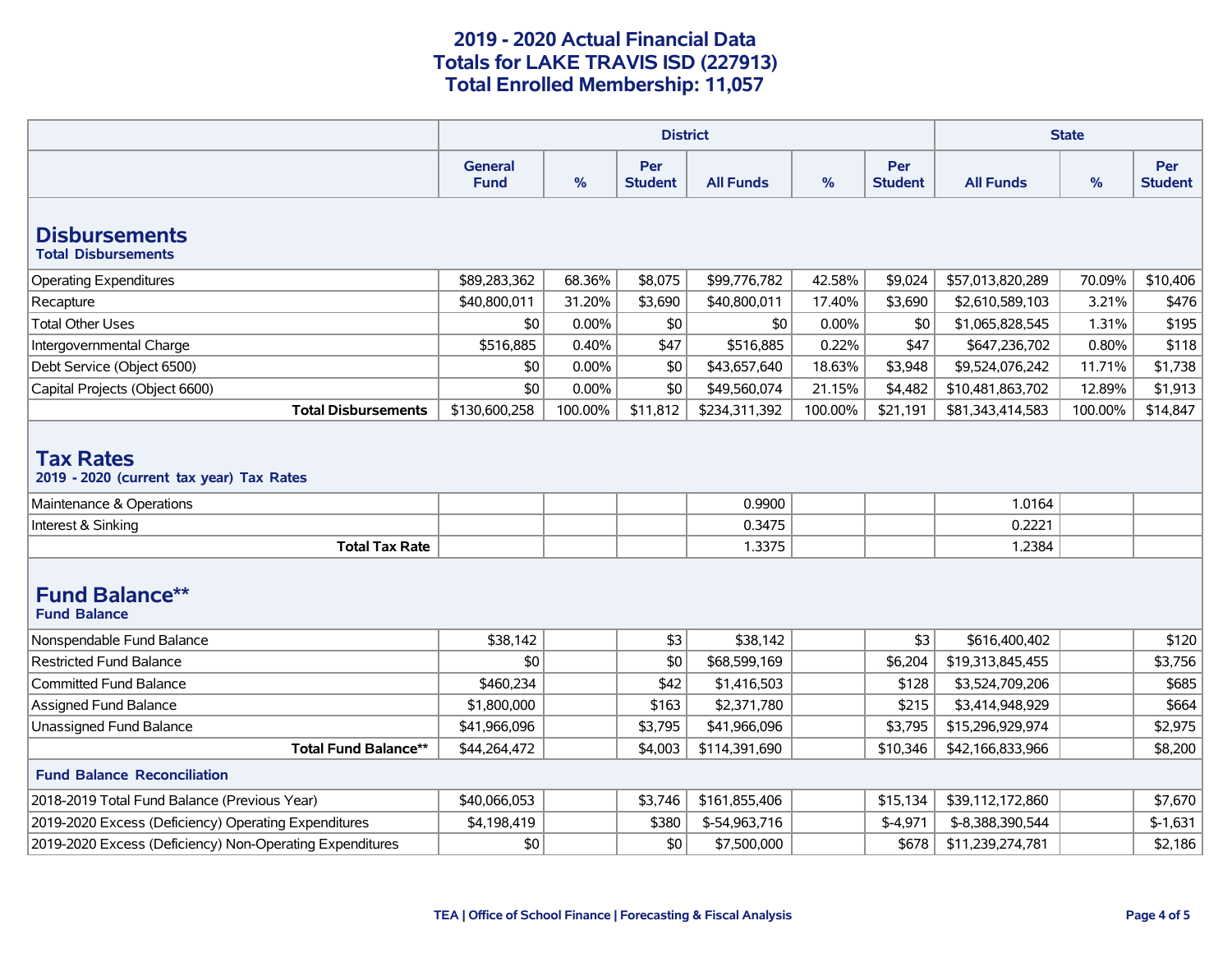|                                                                                          |                               | <b>State</b> |                       |                  |               |                       |                  |         |                       |
|------------------------------------------------------------------------------------------|-------------------------------|--------------|-----------------------|------------------|---------------|-----------------------|------------------|---------|-----------------------|
|                                                                                          | <b>General</b><br><b>Fund</b> | %            | Per<br><b>Student</b> | <b>All Funds</b> | $\frac{9}{6}$ | Per<br><b>Student</b> | <b>All Funds</b> | %       | Per<br><b>Student</b> |
| <b>Disbursements</b><br><b>Total Disbursements</b>                                       |                               |              |                       |                  |               |                       |                  |         |                       |
| <b>Operating Expenditures</b>                                                            | \$89,283,362                  | 68.36%       | \$8,075               | \$99,776,782     | 42.58%        | \$9,024               | \$57,013,820,289 | 70.09%  | \$10,406              |
| Recapture                                                                                | \$40,800,011                  | 31.20%       | \$3,690               | \$40,800,011     | 17.40%        | \$3,690               | \$2,610,589,103  | 3.21%   | \$476                 |
| <b>Total Other Uses</b>                                                                  | \$0                           | 0.00%        | \$0                   | \$0              | 0.00%         | \$0                   | \$1,065,828,545  | 1.31%   | \$195                 |
| Intergovernmental Charge                                                                 | \$516,885                     | 0.40%        | \$47                  | \$516,885        | 0.22%         | \$47                  | \$647,236,702    | 0.80%   | \$118                 |
| Debt Service (Object 6500)                                                               | \$0                           | 0.00%        | \$0                   | \$43,657,640     | 18.63%        | \$3,948               | \$9,524,076,242  | 11.71%  | \$1,738               |
| Capital Projects (Object 6600)                                                           | \$0                           | $0.00\%$     | \$0                   | \$49,560,074     | 21.15%        | \$4,482               | \$10,481,863,702 | 12.89%  | \$1,913               |
| <b>Total Disbursements</b>                                                               | \$130,600,258                 | 100.00%      | \$11,812              | \$234,311,392    | 100.00%       | \$21,191              | \$81,343,414,583 | 100.00% | \$14,847              |
| <b>Tax Rates</b><br>2019 - 2020 (current tax year) Tax Rates<br>Maintenance & Operations |                               |              |                       | 0.9900           |               |                       | 1.0164           |         |                       |
| Interest & Sinking                                                                       |                               |              |                       | 0.3475           |               |                       | 0.2221           |         |                       |
| <b>Total Tax Rate</b>                                                                    |                               |              |                       | 1.3375           |               |                       | 1.2384           |         |                       |
| <b>Fund Balance**</b><br><b>Fund Balance</b>                                             |                               |              |                       |                  |               |                       |                  |         |                       |
| Nonspendable Fund Balance                                                                | \$38,142                      |              | \$3                   | \$38,142         |               | \$3                   | \$616,400,402    |         | \$120                 |
| <b>Restricted Fund Balance</b>                                                           | \$0                           |              | \$0                   | \$68,599,169     |               | \$6,204               | \$19,313,845,455 |         | \$3,756               |
| <b>Committed Fund Balance</b>                                                            | \$460,234                     |              | \$42                  | \$1,416,503      |               | \$128                 | \$3,524,709,206  |         | \$685                 |
| Assigned Fund Balance                                                                    | \$1,800,000                   |              | \$163                 | \$2,371,780      |               | \$215                 | \$3,414,948,929  |         | \$664                 |
| Unassigned Fund Balance                                                                  | \$41,966,096                  |              | \$3,795               | \$41,966,096     |               | \$3,795               | \$15,296,929,974 |         | \$2,975               |
| <b>Total Fund Balance**</b>                                                              | \$44,264,472                  |              | \$4,003               | \$114,391,690    |               | \$10,346              | \$42,166,833,966 |         | \$8,200               |
| <b>Fund Balance Reconciliation</b>                                                       |                               |              |                       |                  |               |                       |                  |         |                       |
| 2018-2019 Total Fund Balance (Previous Year)                                             | \$40,066,053                  |              | \$3,746               | \$161,855,406    |               | \$15,134              | \$39,112,172,860 |         | \$7,670               |
| 2019-2020 Excess (Deficiency) Operating Expenditures                                     | \$4,198,419                   |              | \$380                 | \$-54,963,716    |               | $$-4,971$             | \$-8,388,390,544 |         | $$-1,631$             |
| 2019-2020 Excess (Deficiency) Non-Operating Expenditures                                 | \$0                           |              | \$0                   | \$7,500,000      |               | \$678                 | \$11,239,274,781 |         | \$2,186               |
|                                                                                          |                               |              |                       |                  |               |                       |                  |         |                       |